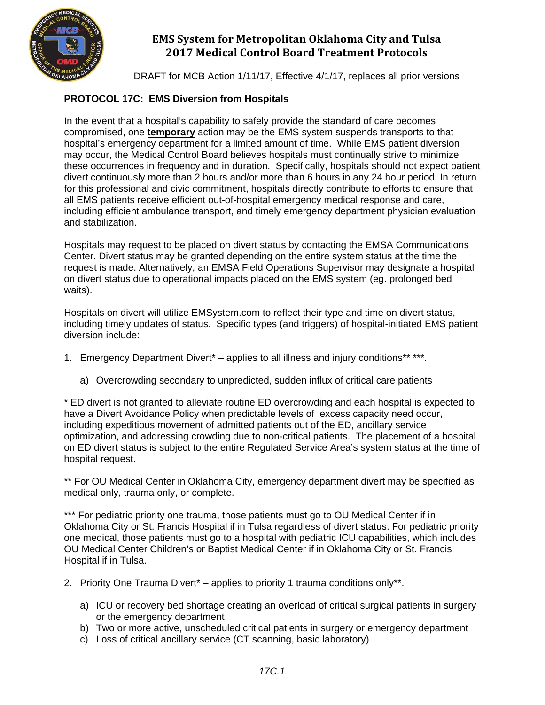

DRAFT for MCB Action 1/11/17, Effective 4/1/17, replaces all prior versions

### **PROTOCOL 17C: EMS Diversion from Hospitals**

In the event that a hospital's capability to safely provide the standard of care becomes compromised, one **temporary** action may be the EMS system suspends transports to that hospital's emergency department for a limited amount of time. While EMS patient diversion may occur, the Medical Control Board believes hospitals must continually strive to minimize these occurrences in frequency and in duration. Specifically, hospitals should not expect patient divert continuously more than 2 hours and/or more than 6 hours in any 24 hour period. In return for this professional and civic commitment, hospitals directly contribute to efforts to ensure that all EMS patients receive efficient out-of-hospital emergency medical response and care, including efficient ambulance transport, and timely emergency department physician evaluation and stabilization.

Hospitals may request to be placed on divert status by contacting the EMSA Communications Center. Divert status may be granted depending on the entire system status at the time the request is made. Alternatively, an EMSA Field Operations Supervisor may designate a hospital on divert status due to operational impacts placed on the EMS system (eg. prolonged bed waits).

Hospitals on divert will utilize EMSystem.com to reflect their type and time on divert status, including timely updates of status. Specific types (and triggers) of hospital-initiated EMS patient diversion include:

- 1. Emergency Department Divert<sup>\*</sup> applies to all illness and injury conditions<sup>\*\*</sup> \*\*\*.
	- a) Overcrowding secondary to unpredicted, sudden influx of critical care patients

\* ED divert is not granted to alleviate routine ED overcrowding and each hospital is expected to have a Divert Avoidance Policy when predictable levels of excess capacity need occur, including expeditious movement of admitted patients out of the ED, ancillary service optimization, and addressing crowding due to non-critical patients. The placement of a hospital on ED divert status is subject to the entire Regulated Service Area's system status at the time of hospital request.

\*\* For OU Medical Center in Oklahoma City, emergency department divert may be specified as medical only, trauma only, or complete.

\*\*\* For pediatric priority one trauma, those patients must go to OU Medical Center if in Oklahoma City or St. Francis Hospital if in Tulsa regardless of divert status. For pediatric priority one medical, those patients must go to a hospital with pediatric ICU capabilities, which includes OU Medical Center Children's or Baptist Medical Center if in Oklahoma City or St. Francis Hospital if in Tulsa.

- 2. Priority One Trauma Divert<sup>\*</sup> applies to priority 1 trauma conditions only\*\*.
	- a) ICU or recovery bed shortage creating an overload of critical surgical patients in surgery or the emergency department
	- b) Two or more active, unscheduled critical patients in surgery or emergency department
	- c) Loss of critical ancillary service (CT scanning, basic laboratory)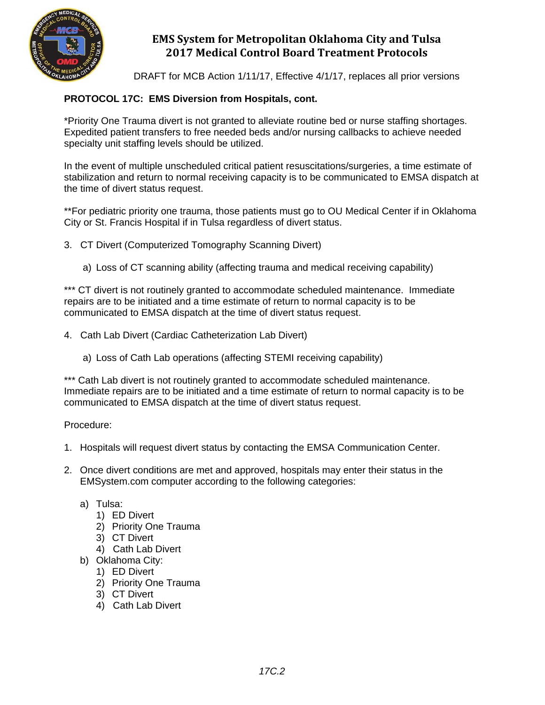

DRAFT for MCB Action 1/11/17, Effective 4/1/17, replaces all prior versions

### **PROTOCOL 17C: EMS Diversion from Hospitals, cont.**

\*Priority One Trauma divert is not granted to alleviate routine bed or nurse staffing shortages. Expedited patient transfers to free needed beds and/or nursing callbacks to achieve needed specialty unit staffing levels should be utilized.

In the event of multiple unscheduled critical patient resuscitations/surgeries, a time estimate of stabilization and return to normal receiving capacity is to be communicated to EMSA dispatch at the time of divert status request.

\*\*For pediatric priority one trauma, those patients must go to OU Medical Center if in Oklahoma City or St. Francis Hospital if in Tulsa regardless of divert status.

3. CT Divert (Computerized Tomography Scanning Divert)

a) Loss of CT scanning ability (affecting trauma and medical receiving capability)

\*\*\* CT divert is not routinely granted to accommodate scheduled maintenance. Immediate repairs are to be initiated and a time estimate of return to normal capacity is to be communicated to EMSA dispatch at the time of divert status request.

- 4. Cath Lab Divert (Cardiac Catheterization Lab Divert)
	- a) Loss of Cath Lab operations (affecting STEMI receiving capability)

\*\*\* Cath Lab divert is not routinely granted to accommodate scheduled maintenance. Immediate repairs are to be initiated and a time estimate of return to normal capacity is to be communicated to EMSA dispatch at the time of divert status request.

Procedure:

- 1. Hospitals will request divert status by contacting the EMSA Communication Center.
- 2. Once divert conditions are met and approved, hospitals may enter their status in the EMSystem.com computer according to the following categories:
	- a) Tulsa:
		- 1) ED Divert
		- 2) Priority One Trauma
		- 3) CT Divert
		- 4) Cath Lab Divert
	- b) Oklahoma City:
		- 1) ED Divert
		- 2) Priority One Trauma
		- 3) CT Divert
		- 4) Cath Lab Divert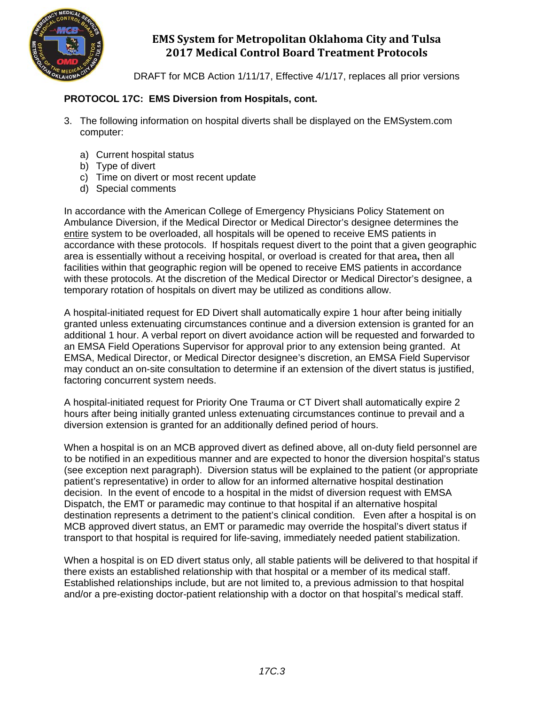

DRAFT for MCB Action 1/11/17, Effective 4/1/17, replaces all prior versions

#### **PROTOCOL 17C: EMS Diversion from Hospitals, cont.**

- 3. The following information on hospital diverts shall be displayed on the EMSystem.com computer:
	- a) Current hospital status
	- b) Type of divert
	- c) Time on divert or most recent update
	- d) Special comments

In accordance with the American College of Emergency Physicians Policy Statement on Ambulance Diversion, if the Medical Director or Medical Director's designee determines the entire system to be overloaded, all hospitals will be opened to receive EMS patients in accordance with these protocols. If hospitals request divert to the point that a given geographic area is essentially without a receiving hospital, or overload is created for that area**,** then all facilities within that geographic region will be opened to receive EMS patients in accordance with these protocols. At the discretion of the Medical Director or Medical Director's designee, a temporary rotation of hospitals on divert may be utilized as conditions allow.

A hospital-initiated request for ED Divert shall automatically expire 1 hour after being initially granted unless extenuating circumstances continue and a diversion extension is granted for an additional 1 hour. A verbal report on divert avoidance action will be requested and forwarded to an EMSA Field Operations Supervisor for approval prior to any extension being granted. At EMSA, Medical Director, or Medical Director designee's discretion, an EMSA Field Supervisor may conduct an on-site consultation to determine if an extension of the divert status is justified, factoring concurrent system needs.

A hospital-initiated request for Priority One Trauma or CT Divert shall automatically expire 2 hours after being initially granted unless extenuating circumstances continue to prevail and a diversion extension is granted for an additionally defined period of hours.

When a hospital is on an MCB approved divert as defined above, all on-duty field personnel are to be notified in an expeditious manner and are expected to honor the diversion hospital's status (see exception next paragraph). Diversion status will be explained to the patient (or appropriate patient's representative) in order to allow for an informed alternative hospital destination decision. In the event of encode to a hospital in the midst of diversion request with EMSA Dispatch, the EMT or paramedic may continue to that hospital if an alternative hospital destination represents a detriment to the patient's clinical condition. Even after a hospital is on MCB approved divert status, an EMT or paramedic may override the hospital's divert status if transport to that hospital is required for life-saving, immediately needed patient stabilization.

When a hospital is on ED divert status only, all stable patients will be delivered to that hospital if there exists an established relationship with that hospital or a member of its medical staff. Established relationships include, but are not limited to, a previous admission to that hospital and/or a pre-existing doctor-patient relationship with a doctor on that hospital's medical staff.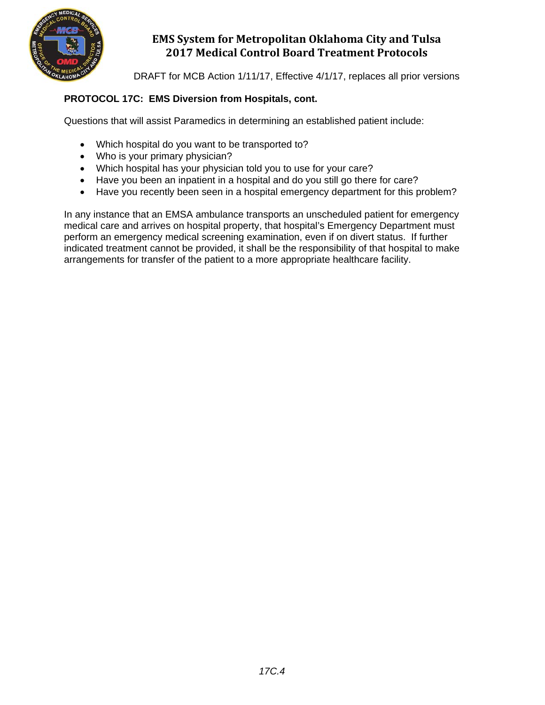

DRAFT for MCB Action 1/11/17, Effective 4/1/17, replaces all prior versions

### **PROTOCOL 17C: EMS Diversion from Hospitals, cont.**

Questions that will assist Paramedics in determining an established patient include:

- Which hospital do you want to be transported to?
- Who is your primary physician?
- Which hospital has your physician told you to use for your care?
- Have you been an inpatient in a hospital and do you still go there for care?
- Have you recently been seen in a hospital emergency department for this problem?

In any instance that an EMSA ambulance transports an unscheduled patient for emergency medical care and arrives on hospital property, that hospital's Emergency Department must perform an emergency medical screening examination, even if on divert status. If further indicated treatment cannot be provided, it shall be the responsibility of that hospital to make arrangements for transfer of the patient to a more appropriate healthcare facility.